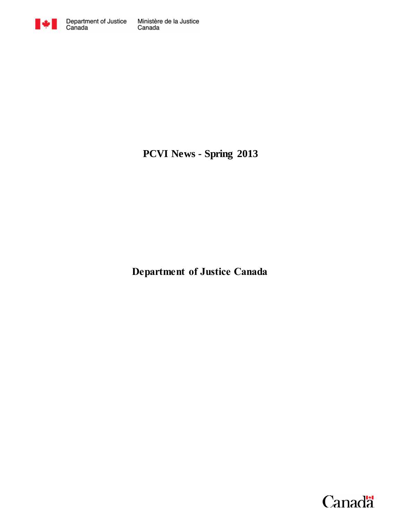

**PCVI News - Spring 2013**

**Department of Justice Canada**

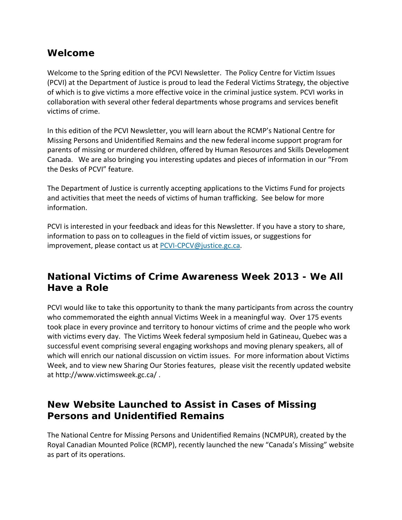### **Welcome**

Welcome to the Spring edition of the PCVI Newsletter. The Policy Centre for Victim Issues (PCVI) at the Department of Justice is proud to lead the Federal Victims Strategy, the objective of which is to give victims a more effective voice in the criminal justice system. PCVI works in collaboration with several other federal departments whose programs and services benefit victims of crime.

In this edition of the PCVI Newsletter, you will learn about the RCMP's National Centre for Missing Persons and Unidentified Remains and the new federal income support program for parents of missing or murdered children, offered by Human Resources and Skills Development Canada. We are also bringing you interesting updates and pieces of information in our "From the Desks of PCVI" feature.

The Department of Justice is currently accepting applications to the Victims Fund for projects and activities that meet the needs of victims of human trafficking. See below for more information.

PCVI is interested in your feedback and ideas for this Newsletter. If you have a story to share, information to pass on to colleagues in the field of victim issues, or suggestions for improvement, please contact us at [PCVI-CPCV@justice.gc.ca.](mailto:PCVI-CPCV@justice.gc.ca)

## **National Victims of Crime Awareness Week 2013 - We All Have a Role**

PCVI would like to take this opportunity to thank the many participants from across the country who commemorated the eighth annual Victims Week in a meaningful way. Over 175 events took place in every province and territory to honour victims of crime and the people who work with victims every day. The Victims Week federal symposium held in Gatineau, Quebec was a successful event comprising several engaging workshops and moving plenary speakers, all of which will enrich our national discussion on victim issues. For more information about Victims Week, and to view new Sharing Our Stories features, please visit the recently updated website at http://www.victimsweek.gc.ca/ .

## **New Website Launched to Assist in Cases of Missing Persons and Unidentified Remains**

The National Centre for Missing Persons and Unidentified Remains (NCMPUR), created by the Royal Canadian Mounted Police (RCMP), recently launched the new "Canada's Missing" website as part of its operations.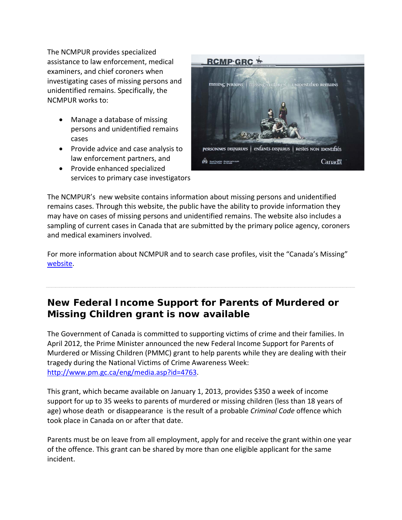The NCMPUR provides specialized assistance to law enforcement, medical examiners, and chief coroners when investigating cases of missing persons and unidentified remains. Specifically, the NCMPUR works to:

- Manage a database of missing persons and unidentified remains cases
- Provide advice and case analysis to law enforcement partners, and
- Provide enhanced specialized services to primary case investigators



The NCMPUR's new website contains information about missing persons and unidentified remains cases. Through this website, the public have the ability to provide information they may have on cases of missing persons and unidentified remains. The website also includes a sampling of current cases in Canada that are submitted by the primary police agency, coroners and medical examiners involved.

For more information about NCMPUR and to search case profiles, visit the "Canada's Missing" [website.](http://www.canadasmissing.ca/index-eng.htm)

## **New Federal Income Support for Parents of Murdered or Missing Children grant is now available**

The Government of Canada is committed to supporting victims of crime and their families. In April 2012, the Prime Minister announced the new Federal Income Support for Parents of Murdered or Missing Children (PMMC) grant to help parents while they are dealing with their tragedy during the National Victims of Crime Awareness Week: [http://www.pm.gc.ca/eng/media.asp?id=4763.](http://www.pm.gc.ca/eng/media.asp?id=4763)

This grant, which became available on January 1, 2013, provides \$350 a week of income support for up to 35 weeks to parents of murdered or missing children (less than 18 years of age) whose death or disappearance is the result of a probable *Criminal Code* offence which took place in Canada on or after that date.

Parents must be on leave from all employment, apply for and receive the grant within one year of the offence. This grant can be shared by more than one eligible applicant for the same incident.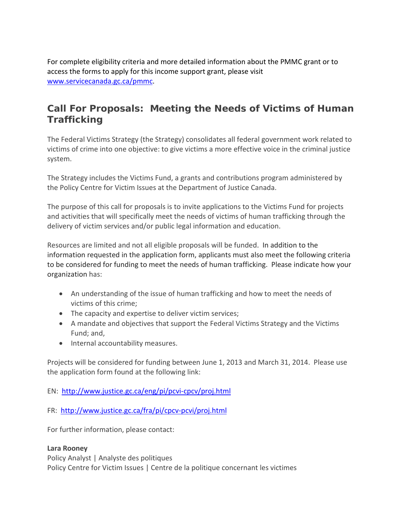For complete eligibility criteria and more detailed information about the PMMC grant or to access the forms to apply for this income support grant, please visit [www.servicecanada.gc.ca/pmmc.](http://www.servicecanada.gc.ca/pmmc)

# **Call For Proposals: Meeting the Needs of Victims of Human Trafficking**

The Federal Victims Strategy (the Strategy) consolidates all federal government work related to victims of crime into one objective: to give victims a more effective voice in the criminal justice system.

The Strategy includes the Victims Fund, a grants and contributions program administered by the Policy Centre for Victim Issues at the Department of Justice Canada.

The purpose of this call for proposals is to invite applications to the Victims Fund for projects and activities that will specifically meet the needs of victims of human trafficking through the delivery of victim services and/or public legal information and education.

Resources are limited and not all eligible proposals will be funded. In addition to the information requested in the application form, applicants must also meet the following criteria to be considered for funding to meet the needs of human trafficking. Please indicate how your organization has:

- An understanding of the issue of human trafficking and how to meet the needs of victims of this crime;
- The capacity and expertise to deliver victim services;
- A mandate and objectives that support the Federal Victims Strategy and the Victims Fund; and,
- Internal accountability measures.

Projects will be considered for funding between June 1, 2013 and March 31, 2014. Please use the application form found at the following link:

EN: <http://www.justice.gc.ca/eng/pi/pcvi-cpcv/proj.html>

FR: <http://www.justice.gc.ca/fra/pi/cpcv-pcvi/proj.html>

For further information, please contact:

### **Lara Rooney**

Policy Analyst | Analyste des politiques Policy Centre for Victim Issues | Centre de la politique concernant les victimes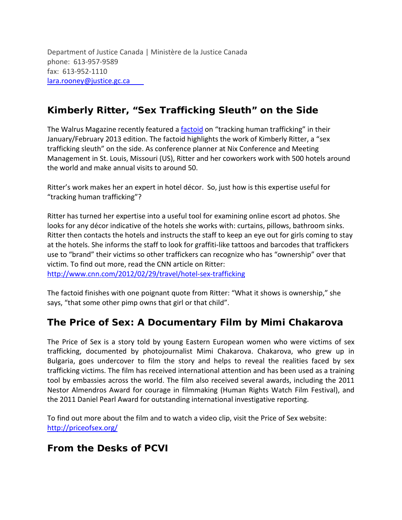Department of Justice Canada | Ministère de la Justice Canada phone: 613-957-9589 fax: 613-952-1110 lara.rooney[@justice.gc.ca](mailto:lara.rooney@justice.gc.ca) 

# **Kimberly Ritter, "Sex Trafficking Sleuth" on the Side**

The Walrus Magazine recently featured a **factoid** on "tracking human trafficking" in their January/February 2013 edition. The factoid highlights the work of Kimberly Ritter, a "sex trafficking sleuth" on the side. As conference planner at Nix Conference and Meeting Management in St. Louis, Missouri (US), Ritter and her coworkers work with 500 hotels around the world and make annual visits to around 50.

Ritter's work makes her an expert in hotel décor. So, just how is this expertise useful for "tracking human trafficking"?

Ritter has turned her expertise into a useful tool for examining online escort ad photos. She looks for any décor indicative of the hotels she works with: curtains, pillows, bathroom sinks. Ritter then contacts the hotels and instructs the staff to keep an eye out for girls coming to stay at the hotels. She informs the staff to look for graffiti-like tattoos and barcodes that traffickers use to "brand" their victims so other traffickers can recognize who has "ownership" over that victim. To find out more, read the CNN article on Ritter:

<http://www.cnn.com/2012/02/29/travel/hotel-sex-trafficking>

The factoid finishes with one poignant quote from Ritter: "What it shows is ownership," she says, "that some other pimp owns that girl or that child".

# **The Price of Sex: A Documentary Film by Mimi Chakarova**

The Price of Sex is a story told by young Eastern European women who were victims of sex trafficking, documented by photojournalist Mimi Chakarova. Chakarova, who grew up in Bulgaria, goes undercover to film the story and helps to reveal the realities faced by sex trafficking victims. The film has received international attention and has been used as a training tool by embassies across the world. The film also received several awards, including the 2011 Nestor Almendros Award for courage in filmmaking (Human Rights Watch Film Festival), and the 2011 Daniel Pearl Award for outstanding international investigative reporting.

To find out more about the film and to watch a video clip, visit the Price of Sex website: <http://priceofsex.org/>

# **From the Desks of PCVI**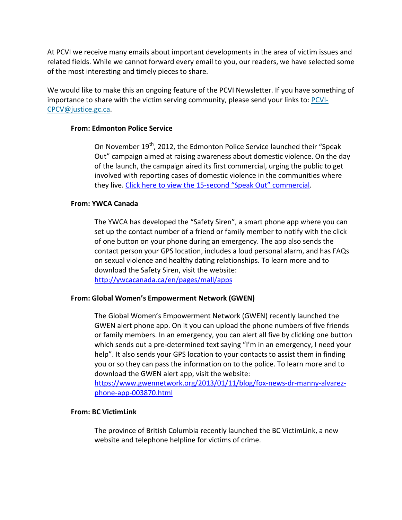At PCVI we receive many emails about important developments in the area of victim issues and related fields. While we cannot forward every email to you, our readers, we have selected some of the most interesting and timely pieces to share.

We would like to make this an ongoing feature of the PCVI Newsletter. If you have something of importance to share with the victim serving community, please send your links to: [PCVI-](mailto:PCVI-CPCV@justice.gc.ca)[CPCV@justice.gc.ca.](mailto:PCVI-CPCV@justice.gc.ca)

#### **From: Edmonton Police Service**

On November 19<sup>th</sup>, 2012, the Edmonton Police Service launched their "Speak Out" campaign aimed at raising awareness about domestic violence. On the day of the launch, the campaign aired its first commercial, urging the public to get involved with reporting cases of domestic violence in the communities where they live. [Click here to view the 15-second "Speak Out" commercial.](http://youtu.be/JDHv2uK3bxs)

#### **From: YWCA Canada**

The YWCA has developed the "Safety Siren", a smart phone app where you can set up the contact number of a friend or family member to notify with the click of one button on your phone during an emergency. The app also sends the contact person your GPS location, includes a loud personal alarm, and has FAQs on sexual violence and healthy dating relationships. To learn more and to download the Safety Siren, visit the website: <http://ywcacanada.ca/en/pages/mall/apps>

#### **From: Global Women's Empowerment Network (GWEN)**

The Global Women's Empowerment Network (GWEN) recently launched the GWEN alert phone app. On it you can upload the phone numbers of five friends or family members. In an emergency, you can alert all five by clicking one button which sends out a pre-determined text saying "I'm in an emergency, I need your help". It also sends your GPS location to your contacts to assist them in finding you or so they can pass the information on to the police. To learn more and to download the GWEN alert app, visit the website:

[https://www.gwennetwork.org/2013/01/11/blog/fox-news-dr-manny-alvarez](https://www.gwennetwork.org/2013/01/11/blog/fox-news-dr-manny-alvarez-phone-app-003870.html)[phone-app-003870.html](https://www.gwennetwork.org/2013/01/11/blog/fox-news-dr-manny-alvarez-phone-app-003870.html)

#### **From: BC VictimLink**

The province of British Columbia recently launched the BC VictimLink, a new website and telephone helpline for victims of crime.